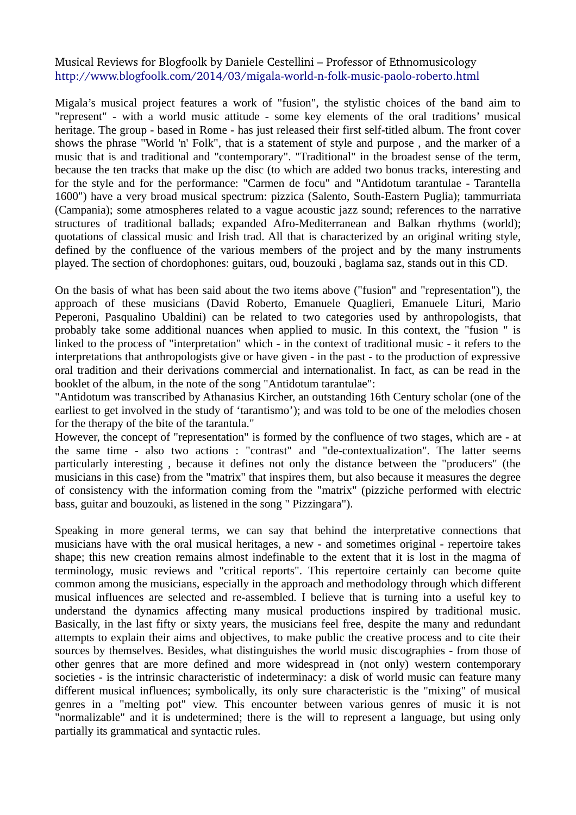Musical Reviews for Blogfoolk by Daniele Cestellini – Professor of Ethnomusicology http://www.blogfoolk.com/2014/03/migala-world-n-folk-music-paolo-roberto.html

Migala's musical project features a work of "fusion", the stylistic choices of the band aim to "represent" - with a world music attitude - some key elements of the oral traditions' musical heritage. The group - based in Rome - has just released their first self-titled album. The front cover shows the phrase "World 'n' Folk", that is a statement of style and purpose , and the marker of a music that is and traditional and "contemporary". "Traditional" in the broadest sense of the term, because the ten tracks that make up the disc (to which are added two bonus tracks, interesting and for the style and for the performance: "Carmen de focu" and "Antidotum tarantulae - Tarantella 1600") have a very broad musical spectrum: pizzica (Salento, South-Eastern Puglia); tammurriata (Campania); some atmospheres related to a vague acoustic jazz sound; references to the narrative structures of traditional ballads; expanded Afro-Mediterranean and Balkan rhythms (world); quotations of classical music and Irish trad. All that is characterized by an original writing style, defined by the confluence of the various members of the project and by the many instruments played. The section of chordophones: guitars, oud, bouzouki , baglama saz, stands out in this CD.

On the basis of what has been said about the two items above ("fusion" and "representation"), the approach of these musicians (David Roberto, Emanuele Quaglieri, Emanuele Lituri, Mario Peperoni, Pasqualino Ubaldini) can be related to two categories used by anthropologists, that probably take some additional nuances when applied to music. In this context, the "fusion " is linked to the process of "interpretation" which - in the context of traditional music - it refers to the interpretations that anthropologists give or have given - in the past - to the production of expressive oral tradition and their derivations commercial and internationalist. In fact, as can be read in the booklet of the album, in the note of the song "Antidotum tarantulae":

"Antidotum was transcribed by Athanasius Kircher, an outstanding 16th Century scholar (one of the earliest to get involved in the study of 'tarantismo'); and was told to be one of the melodies chosen for the therapy of the bite of the tarantula."

However, the concept of "representation" is formed by the confluence of two stages, which are - at the same time - also two actions : "contrast" and "de-contextualization". The latter seems particularly interesting , because it defines not only the distance between the "producers" (the musicians in this case) from the "matrix" that inspires them, but also because it measures the degree of consistency with the information coming from the "matrix" (pizziche performed with electric bass, guitar and bouzouki, as listened in the song " Pizzingara").

Speaking in more general terms, we can say that behind the interpretative connections that musicians have with the oral musical heritages, a new - and sometimes original - repertoire takes shape; this new creation remains almost indefinable to the extent that it is lost in the magma of terminology, music reviews and "critical reports". This repertoire certainly can become quite common among the musicians, especially in the approach and methodology through which different musical influences are selected and re-assembled. I believe that is turning into a useful key to understand the dynamics affecting many musical productions inspired by traditional music. Basically, in the last fifty or sixty years, the musicians feel free, despite the many and redundant attempts to explain their aims and objectives, to make public the creative process and to cite their sources by themselves. Besides, what distinguishes the world music discographies - from those of other genres that are more defined and more widespread in (not only) western contemporary societies - is the intrinsic characteristic of indeterminacy: a disk of world music can feature many different musical influences; symbolically, its only sure characteristic is the "mixing" of musical genres in a "melting pot" view. This encounter between various genres of music it is not "normalizable" and it is undetermined; there is the will to represent a language, but using only partially its grammatical and syntactic rules.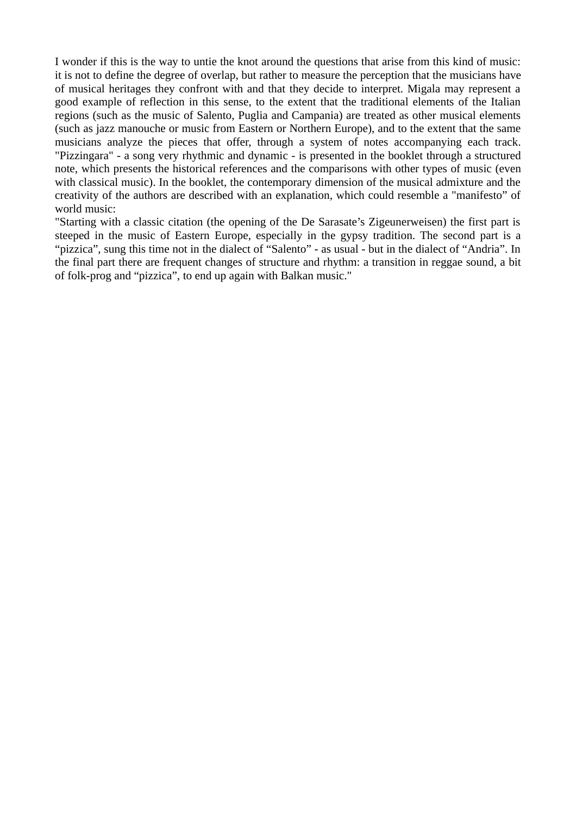I wonder if this is the way to untie the knot around the questions that arise from this kind of music: it is not to define the degree of overlap, but rather to measure the perception that the musicians have of musical heritages they confront with and that they decide to interpret. Migala may represent a good example of reflection in this sense, to the extent that the traditional elements of the Italian regions (such as the music of Salento, Puglia and Campania) are treated as other musical elements (such as jazz manouche or music from Eastern or Northern Europe), and to the extent that the same musicians analyze the pieces that offer, through a system of notes accompanying each track. "Pizzingara" - a song very rhythmic and dynamic - is presented in the booklet through a structured note, which presents the historical references and the comparisons with other types of music (even with classical music). In the booklet, the contemporary dimension of the musical admixture and the creativity of the authors are described with an explanation, which could resemble a "manifesto" of world music:

"Starting with a classic citation (the opening of the De Sarasate's Zigeunerweisen) the first part is steeped in the music of Eastern Europe, especially in the gypsy tradition. The second part is a "pizzica", sung this time not in the dialect of "Salento" - as usual - but in the dialect of "Andria". In the final part there are frequent changes of structure and rhythm: a transition in reggae sound, a bit of folk-prog and "pizzica", to end up again with Balkan music."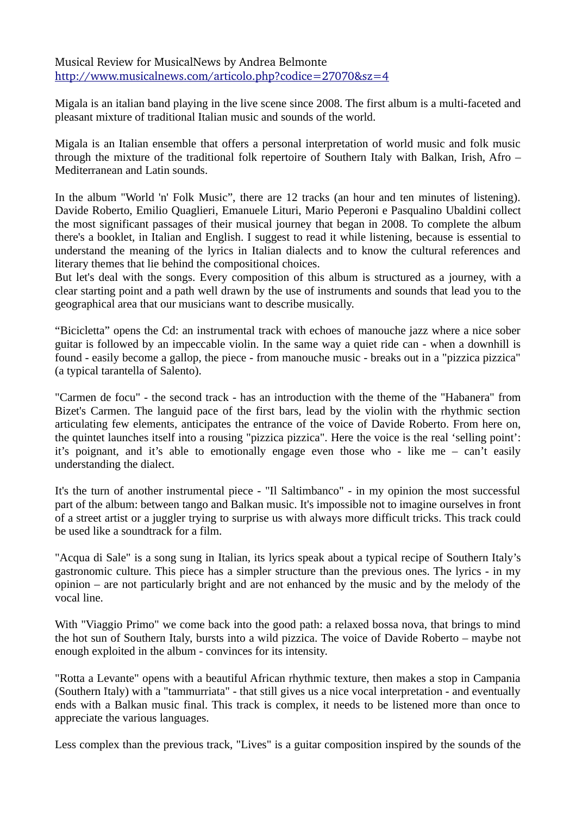Musical Review for MusicalNews by Andrea Belmonte <http://www.musicalnews.com/articolo.php?codice=27070&sz=4>

Migala is an italian band playing in the live scene since 2008. The first album is a multi-faceted and pleasant mixture of traditional Italian music and sounds of the world.

Migala is an Italian ensemble that offers a personal interpretation of world music and folk music through the mixture of the traditional folk repertoire of Southern Italy with Balkan, Irish, Afro – Mediterranean and Latin sounds.

In the album "World 'n' Folk Music", there are 12 tracks (an hour and ten minutes of listening). Davide Roberto, Emilio Quaglieri, Emanuele Lituri, Mario Peperoni e Pasqualino Ubaldini collect the most significant passages of their musical journey that began in 2008. To complete the album there's a booklet, in Italian and English. I suggest to read it while listening, because is essential to understand the meaning of the lyrics in Italian dialects and to know the cultural references and literary themes that lie behind the compositional choices.

But let's deal with the songs. Every composition of this album is structured as a journey, with a clear starting point and a path well drawn by the use of instruments and sounds that lead you to the geographical area that our musicians want to describe musically.

"Bicicletta" opens the Cd: an instrumental track with echoes of manouche jazz where a nice sober guitar is followed by an impeccable violin. In the same way a quiet ride can - when a downhill is found - easily become a gallop, the piece - from manouche music - breaks out in a "pizzica pizzica" (a typical tarantella of Salento).

"Carmen de focu" - the second track - has an introduction with the theme of the "Habanera" from Bizet's Carmen. The languid pace of the first bars, lead by the violin with the rhythmic section articulating few elements, anticipates the entrance of the voice of Davide Roberto. From here on, the quintet launches itself into a rousing "pizzica pizzica". Here the voice is the real 'selling point': it's poignant, and it's able to emotionally engage even those who - like me – can't easily understanding the dialect.

It's the turn of another instrumental piece - "Il Saltimbanco" - in my opinion the most successful part of the album: between tango and Balkan music. It's impossible not to imagine ourselves in front of a street artist or a juggler trying to surprise us with always more difficult tricks. This track could be used like a soundtrack for a film.

"Acqua di Sale" is a song sung in Italian, its lyrics speak about a typical recipe of Southern Italy's gastronomic culture. This piece has a simpler structure than the previous ones. The lyrics - in my opinion – are not particularly bright and are not enhanced by the music and by the melody of the vocal line.

With "Viaggio Primo" we come back into the good path: a relaxed bossa nova, that brings to mind the hot sun of Southern Italy, bursts into a wild pizzica. The voice of Davide Roberto – maybe not enough exploited in the album - convinces for its intensity.

"Rotta a Levante" opens with a beautiful African rhythmic texture, then makes a stop in Campania (Southern Italy) with a "tammurriata" - that still gives us a nice vocal interpretation - and eventually ends with a Balkan music final. This track is complex, it needs to be listened more than once to appreciate the various languages.

Less complex than the previous track, "Lives" is a guitar composition inspired by the sounds of the